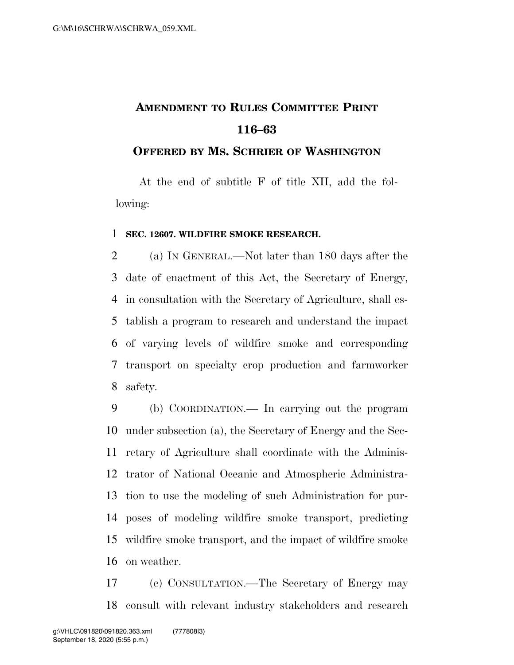## **AMENDMENT TO RULES COMMITTEE PRINT 116–63**

## **OFFERED BY MS. SCHRIER OF WASHINGTON**

At the end of subtitle F of title XII, add the following:

## **SEC. 12607. WILDFIRE SMOKE RESEARCH.**

 (a) IN GENERAL.—Not later than 180 days after the date of enactment of this Act, the Secretary of Energy, in consultation with the Secretary of Agriculture, shall es- tablish a program to research and understand the impact of varying levels of wildfire smoke and corresponding transport on specialty crop production and farmworker safety.

 (b) COORDINATION.— In carrying out the program under subsection (a), the Secretary of Energy and the Sec- retary of Agriculture shall coordinate with the Adminis- trator of National Oceanic and Atmospheric Administra- tion to use the modeling of such Administration for pur- poses of modeling wildfire smoke transport, predicting wildfire smoke transport, and the impact of wildfire smoke on weather.

 (c) CONSULTATION.—The Secretary of Energy may consult with relevant industry stakeholders and research